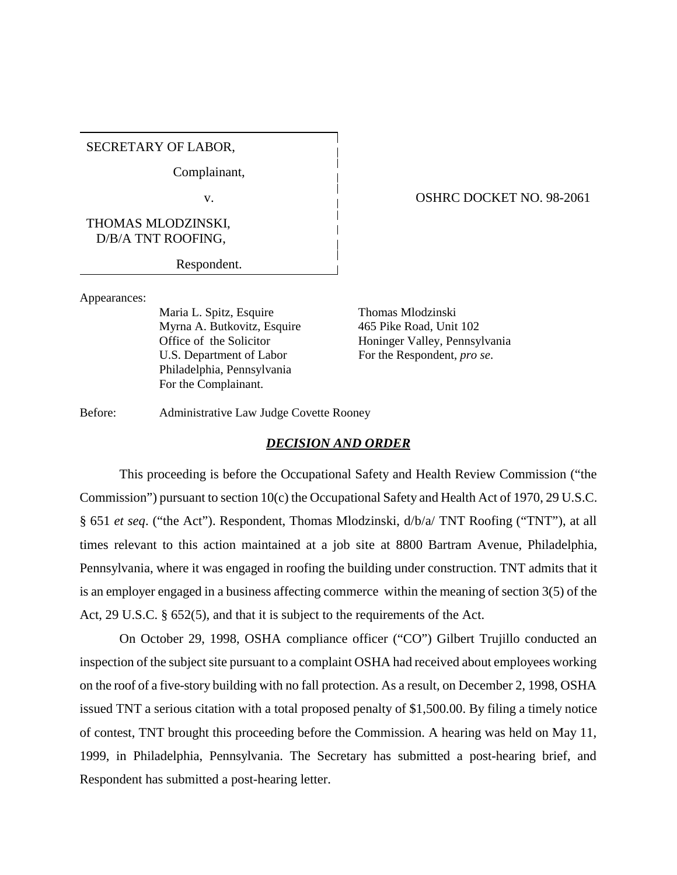SECRETARY OF LABOR,

Complainant,

THOMAS MLODZINSKI, D/B/A TNT ROOFING,

Respondent.

# v. CONFINENT OSHRC DOCKET NO. 98-2061

Appearances:

Maria L. Spitz, Esquire Thomas Mlodzinski Myrna A. Butkovitz, Esquire 465 Pike Road, Unit 102 U.S. Department of Labor For the Respondent, *pro se*. Philadelphia, Pennsylvania For the Complainant.

Office of the Solicitor Honinger Valley, Pennsylvania

Before: Administrative Law Judge Covette Rooney

#### *DECISION AND ORDER*

This proceeding is before the Occupational Safety and Health Review Commission ("the Commission") pursuant to section 10(c) the Occupational Safety and Health Act of 1970, 29 U.S.C. § 651 *et seq*. ("the Act"). Respondent, Thomas Mlodzinski, d/b/a/ TNT Roofing ("TNT"), at all times relevant to this action maintained at a job site at 8800 Bartram Avenue, Philadelphia, Pennsylvania, where it was engaged in roofing the building under construction. TNT admits that it is an employer engaged in a business affecting commerce within the meaning of section 3(5) of the Act, 29 U.S.C. § 652(5), and that it is subject to the requirements of the Act.

On October 29, 1998, OSHA compliance officer ("CO") Gilbert Trujillo conducted an inspection of the subject site pursuant to a complaint OSHA had received about employees working on the roof of a five-story building with no fall protection. As a result, on December 2, 1998, OSHA issued TNT a serious citation with a total proposed penalty of \$1,500.00. By filing a timely notice of contest, TNT brought this proceeding before the Commission. A hearing was held on May 11, 1999, in Philadelphia, Pennsylvania. The Secretary has submitted a post-hearing brief, and Respondent has submitted a post-hearing letter.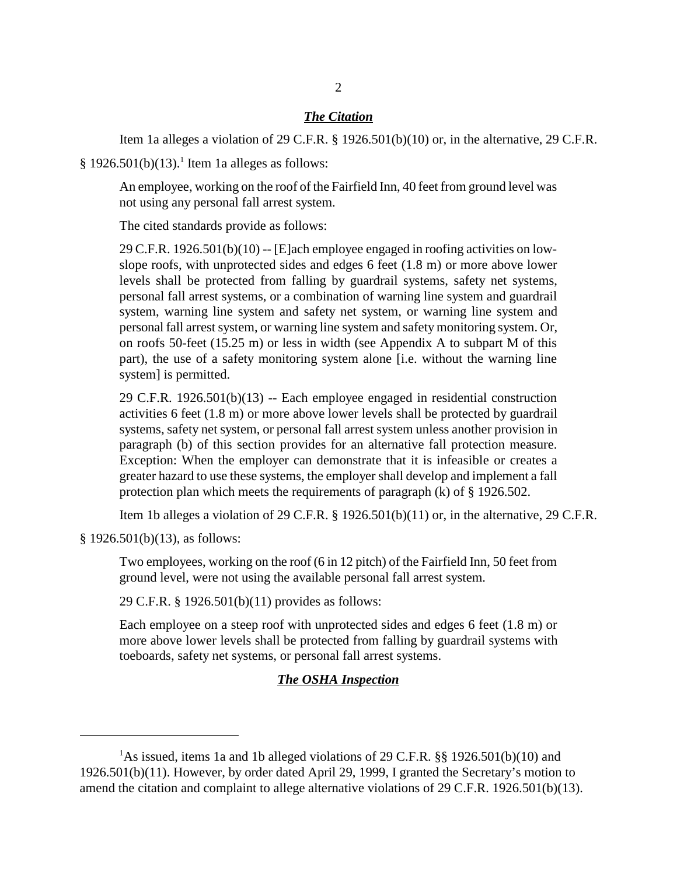#### *The Citation*

Item 1a alleges a violation of 29 C.F.R. § 1926.501(b)(10) or, in the alternative, 29 C.F.R.

 $§$  1926.501(b)(13).<sup>1</sup> Item 1a alleges as follows:

An employee, working on the roof of the Fairfield Inn, 40 feet from ground level was not using any personal fall arrest system.

The cited standards provide as follows:

29 C.F.R. 1926.501(b)(10) -- [E]ach employee engaged in roofing activities on lowslope roofs, with unprotected sides and edges 6 feet (1.8 m) or more above lower levels shall be protected from falling by guardrail systems, safety net systems, personal fall arrest systems, or a combination of warning line system and guardrail system, warning line system and safety net system, or warning line system and personal fall arrest system, or warning line system and safety monitoring system. Or, on roofs 50-feet (15.25 m) or less in width (see Appendix A to subpart M of this part), the use of a safety monitoring system alone [i.e. without the warning line system] is permitted.

29 C.F.R. 1926.501(b)(13) -- Each employee engaged in residential construction activities 6 feet (1.8 m) or more above lower levels shall be protected by guardrail systems, safety net system, or personal fall arrest system unless another provision in paragraph (b) of this section provides for an alternative fall protection measure. Exception: When the employer can demonstrate that it is infeasible or creates a greater hazard to use these systems, the employer shall develop and implement a fall protection plan which meets the requirements of paragraph (k) of § 1926.502.

Item 1b alleges a violation of 29 C.F.R.  $\S$  1926.501(b)(11) or, in the alternative, 29 C.F.R.

§ 1926.501(b)(13), as follows:

Two employees, working on the roof (6 in 12 pitch) of the Fairfield Inn, 50 feet from ground level, were not using the available personal fall arrest system.

29 C.F.R. § 1926.501(b)(11) provides as follows:

Each employee on a steep roof with unprotected sides and edges 6 feet (1.8 m) or more above lower levels shall be protected from falling by guardrail systems with toeboards, safety net systems, or personal fall arrest systems.

## *The OSHA Inspection*

<sup>&</sup>lt;sup>1</sup>As issued, items 1a and 1b alleged violations of 29 C.F.R. §§ 1926.501(b)(10) and 1926.501(b)(11). However, by order dated April 29, 1999, I granted the Secretary's motion to amend the citation and complaint to allege alternative violations of 29 C.F.R. 1926.501(b)(13).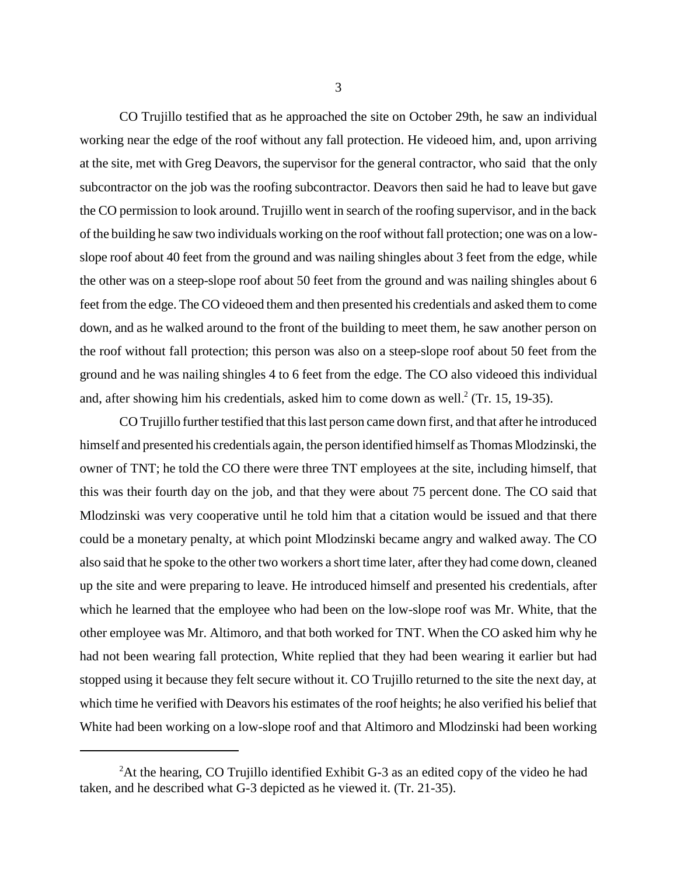CO Trujillo testified that as he approached the site on October 29th, he saw an individual working near the edge of the roof without any fall protection. He videoed him, and, upon arriving at the site, met with Greg Deavors, the supervisor for the general contractor, who said that the only subcontractor on the job was the roofing subcontractor. Deavors then said he had to leave but gave the CO permission to look around. Trujillo went in search of the roofing supervisor, and in the back of the building he saw two individuals working on the roof without fall protection; one was on a lowslope roof about 40 feet from the ground and was nailing shingles about 3 feet from the edge, while the other was on a steep-slope roof about 50 feet from the ground and was nailing shingles about 6 feet from the edge. The CO videoed them and then presented his credentials and asked them to come down, and as he walked around to the front of the building to meet them, he saw another person on the roof without fall protection; this person was also on a steep-slope roof about 50 feet from the ground and he was nailing shingles 4 to 6 feet from the edge. The CO also videoed this individual and, after showing him his credentials, asked him to come down as well. $2$  (Tr. 15, 19-35).

CO Trujillo further testified that this last person came down first, and that after he introduced himself and presented his credentials again, the person identified himself as Thomas Mlodzinski, the owner of TNT; he told the CO there were three TNT employees at the site, including himself, that this was their fourth day on the job, and that they were about 75 percent done. The CO said that Mlodzinski was very cooperative until he told him that a citation would be issued and that there could be a monetary penalty, at which point Mlodzinski became angry and walked away. The CO also said that he spoke to the other two workers a short time later, after they had come down, cleaned up the site and were preparing to leave. He introduced himself and presented his credentials, after which he learned that the employee who had been on the low-slope roof was Mr. White, that the other employee was Mr. Altimoro, and that both worked for TNT. When the CO asked him why he had not been wearing fall protection, White replied that they had been wearing it earlier but had stopped using it because they felt secure without it. CO Trujillo returned to the site the next day, at which time he verified with Deavors his estimates of the roof heights; he also verified his belief that White had been working on a low-slope roof and that Altimoro and Mlodzinski had been working

<sup>&</sup>lt;sup>2</sup>At the hearing, CO Trujillo identified Exhibit G-3 as an edited copy of the video he had taken, and he described what G-3 depicted as he viewed it. (Tr. 21-35).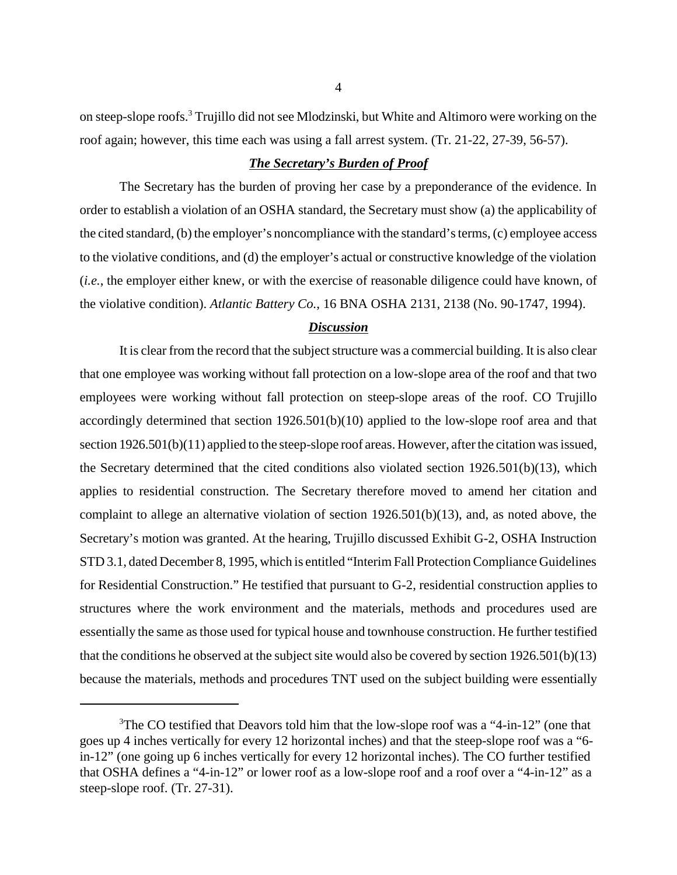on steep-slope roofs.<sup>3</sup> Trujillo did not see Mlodzinski, but White and Altimoro were working on the roof again; however, this time each was using a fall arrest system. (Tr. 21-22, 27-39, 56-57).

## *The Secretary's Burden of Proof*

The Secretary has the burden of proving her case by a preponderance of the evidence. In order to establish a violation of an OSHA standard, the Secretary must show (a) the applicability of the cited standard, (b) the employer's noncompliance with the standard's terms, (c) employee access to the violative conditions, and (d) the employer's actual or constructive knowledge of the violation (*i.e.*, the employer either knew, or with the exercise of reasonable diligence could have known, of the violative condition). *Atlantic Battery Co.*, 16 BNA OSHA 2131, 2138 (No. 90-1747, 1994).

# *Discussion*

It is clear from the record that the subject structure was a commercial building. It is also clear that one employee was working without fall protection on a low-slope area of the roof and that two employees were working without fall protection on steep-slope areas of the roof. CO Trujillo accordingly determined that section 1926.501(b)(10) applied to the low-slope roof area and that section 1926.501(b)(11) applied to the steep-slope roof areas. However, after the citation was issued, the Secretary determined that the cited conditions also violated section 1926.501(b)(13), which applies to residential construction. The Secretary therefore moved to amend her citation and complaint to allege an alternative violation of section 1926.501(b)(13), and, as noted above, the Secretary's motion was granted. At the hearing, Trujillo discussed Exhibit G-2, OSHA Instruction STD 3.1, dated December 8, 1995, which is entitled "Interim Fall Protection Compliance Guidelines for Residential Construction." He testified that pursuant to G-2, residential construction applies to structures where the work environment and the materials, methods and procedures used are essentially the same as those used for typical house and townhouse construction. He further testified that the conditions he observed at the subject site would also be covered by section 1926.501(b)(13) because the materials, methods and procedures TNT used on the subject building were essentially

<sup>&</sup>lt;sup>3</sup>The CO testified that Deavors told him that the low-slope roof was a "4-in-12" (one that goes up 4 inches vertically for every 12 horizontal inches) and that the steep-slope roof was a "6 in-12" (one going up 6 inches vertically for every 12 horizontal inches). The CO further testified that OSHA defines a "4-in-12" or lower roof as a low-slope roof and a roof over a "4-in-12" as a steep-slope roof. (Tr. 27-31).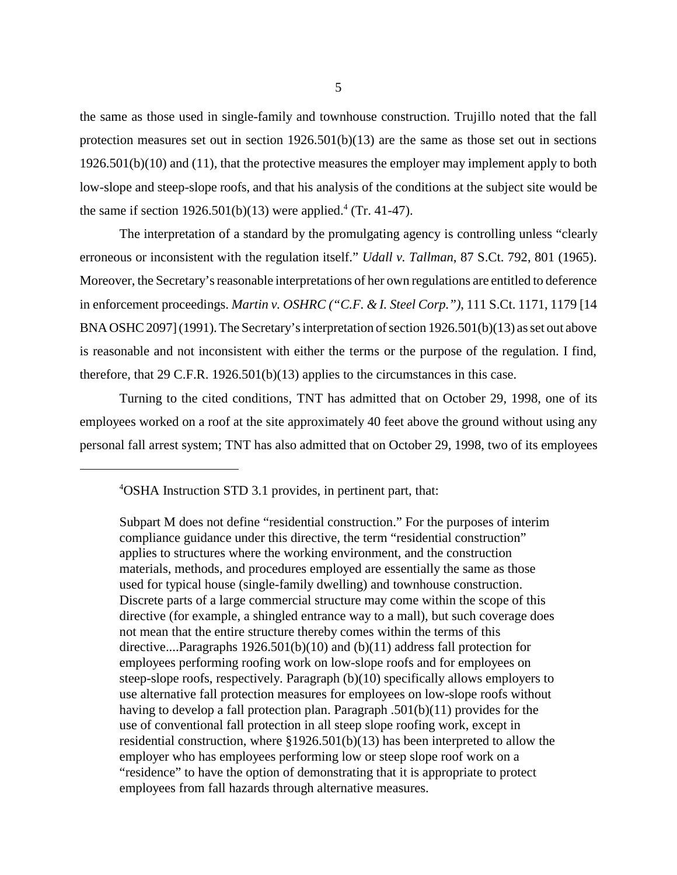the same as those used in single-family and townhouse construction. Trujillo noted that the fall protection measures set out in section  $1926.501(b)(13)$  are the same as those set out in sections 1926.501(b)(10) and (11), that the protective measures the employer may implement apply to both low-slope and steep-slope roofs, and that his analysis of the conditions at the subject site would be the same if section  $1926.501(b)(13)$  were applied.<sup>4</sup> (Tr. 41-47).

The interpretation of a standard by the promulgating agency is controlling unless "clearly erroneous or inconsistent with the regulation itself." *Udall v. Tallman*, 87 S.Ct. 792, 801 (1965). Moreover, the Secretary's reasonable interpretations of her own regulations are entitled to deference in enforcement proceedings. *Martin v. OSHRC ("C.F. & I. Steel Corp.")*, 111 S.Ct. 1171, 1179 [14 BNA OSHC 2097] (1991). The Secretary's interpretation of section 1926.501(b)(13) as set out above is reasonable and not inconsistent with either the terms or the purpose of the regulation. I find, therefore, that 29 C.F.R. 1926.501(b)(13) applies to the circumstances in this case.

Turning to the cited conditions, TNT has admitted that on October 29, 1998, one of its employees worked on a roof at the site approximately 40 feet above the ground without using any personal fall arrest system; TNT has also admitted that on October 29, 1998, two of its employees

4 OSHA Instruction STD 3.1 provides, in pertinent part, that:

Subpart M does not define "residential construction." For the purposes of interim compliance guidance under this directive, the term "residential construction" applies to structures where the working environment, and the construction materials, methods, and procedures employed are essentially the same as those used for typical house (single-family dwelling) and townhouse construction. Discrete parts of a large commercial structure may come within the scope of this directive (for example, a shingled entrance way to a mall), but such coverage does not mean that the entire structure thereby comes within the terms of this directive....Paragraphs  $1926.501(b)(10)$  and  $(b)(11)$  address fall protection for employees performing roofing work on low-slope roofs and for employees on steep-slope roofs, respectively. Paragraph (b)(10) specifically allows employers to use alternative fall protection measures for employees on low-slope roofs without having to develop a fall protection plan. Paragraph .501(b)(11) provides for the use of conventional fall protection in all steep slope roofing work, except in residential construction, where §1926.501(b)(13) has been interpreted to allow the employer who has employees performing low or steep slope roof work on a "residence" to have the option of demonstrating that it is appropriate to protect employees from fall hazards through alternative measures.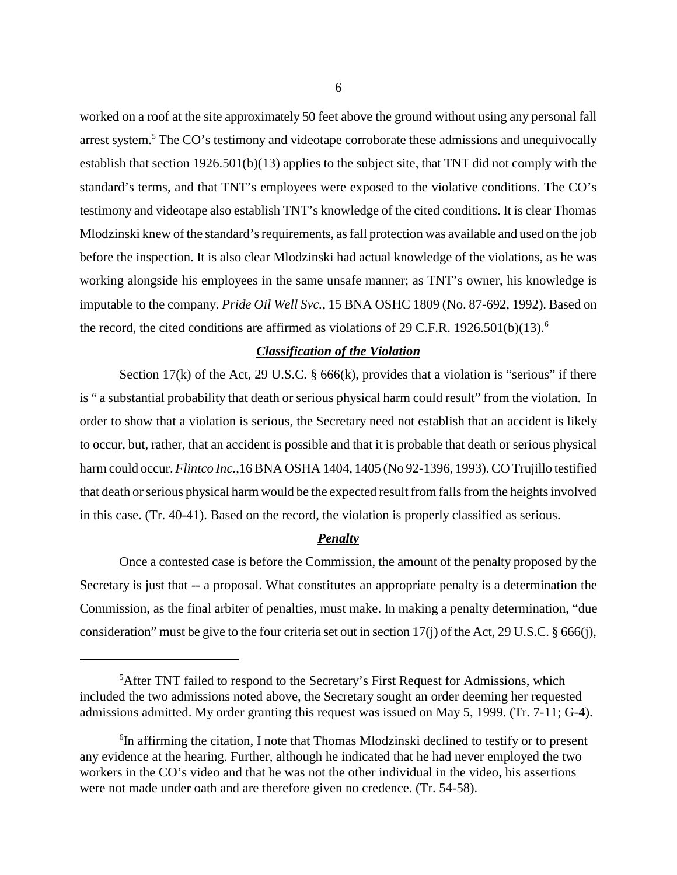worked on a roof at the site approximately 50 feet above the ground without using any personal fall arrest system.<sup>5</sup> The CO's testimony and videotape corroborate these admissions and unequivocally establish that section 1926.501(b)(13) applies to the subject site, that TNT did not comply with the standard's terms, and that TNT's employees were exposed to the violative conditions. The CO's testimony and videotape also establish TNT's knowledge of the cited conditions. It is clear Thomas Mlodzinski knew of the standard's requirements, as fall protection was available and used on the job before the inspection. It is also clear Mlodzinski had actual knowledge of the violations, as he was working alongside his employees in the same unsafe manner; as TNT's owner, his knowledge is imputable to the company. *Pride Oil Well Svc.,* 15 BNA OSHC 1809 (No. 87-692, 1992). Based on the record, the cited conditions are affirmed as violations of 29 C.F.R. 1926.501(b)(13).<sup>6</sup>

## *Classification of the Violation*

Section 17(k) of the Act, 29 U.S.C.  $\S$  666(k), provides that a violation is "serious" if there is " a substantial probability that death or serious physical harm could result" from the violation. In order to show that a violation is serious, the Secretary need not establish that an accident is likely to occur, but, rather, that an accident is possible and that it is probable that death or serious physical harm could occur. *Flintco Inc.*,16 BNA OSHA 1404, 1405 (No 92-1396, 1993). CO Trujillo testified that death or serious physical harm would be the expected result from falls from the heights involved in this case. (Tr. 40-41). Based on the record, the violation is properly classified as serious.

#### *Penalty*

Once a contested case is before the Commission, the amount of the penalty proposed by the Secretary is just that -- a proposal. What constitutes an appropriate penalty is a determination the Commission, as the final arbiter of penalties, must make. In making a penalty determination, "due consideration" must be give to the four criteria set out in section 17(j) of the Act, 29 U.S.C. § 666(j),

<sup>&</sup>lt;sup>5</sup>After TNT failed to respond to the Secretary's First Request for Admissions, which included the two admissions noted above, the Secretary sought an order deeming her requested admissions admitted. My order granting this request was issued on May 5, 1999. (Tr. 7-11; G-4).

<sup>&</sup>lt;sup>6</sup>In affirming the citation, I note that Thomas Mlodzinski declined to testify or to present any evidence at the hearing. Further, although he indicated that he had never employed the two workers in the CO's video and that he was not the other individual in the video, his assertions were not made under oath and are therefore given no credence. (Tr. 54-58).